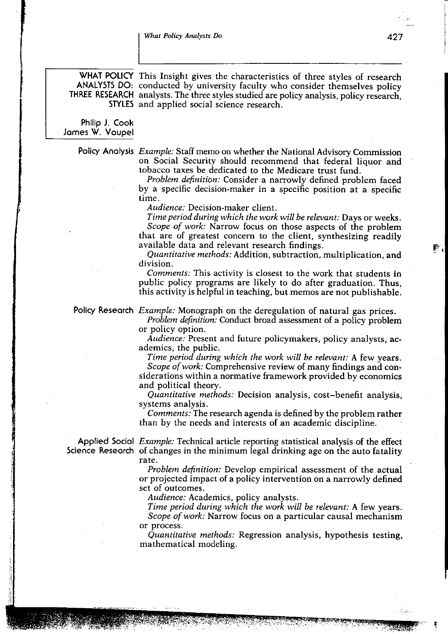WHAT POLICY This Insight gives the characteristics of three styles of research ANALYSTS DO: conducted by university faculty who consider themselves policy THREE RESEARCH analysts. The three styles studied are policy analysis, policy research, STYLES and applied social science research.

Philip J. Cook James W. Vaupel

Policy Analysis *Example:* Staff memo on whether the National Advisory Commission on Social Security should recommend that federal liquor and tobacco taxes be dedicated to the Medicare trust fund.

Problem definition: Consider a narrowly defined problem faced by a specific decision-maker in a specific position at a specific time.

Audience: Decision-maker client.

Time period during which the work will be relevant: Days or weeks. Scope of work: Narrow focus on those aspects of the problem that are of greatest concern to the client, synthesizing readily available data and relevant research findings.<br>Quantitative methods: Addition, subtraction, multiplication, and

division.

Comments: This activity is closest to the work that students in public policy programs are likely to do after graduation. Thus, this activity is helpful in teaching, but memos are not publishable.

Policy Research *Example:* Monograph on the deregulation of natural gas prices.

Problem definition: Conduct broad assessment of a policy problem or policy option.

Audience: Present and future policymakers, policy analysts, academics, the public.

Time period during which the work will be relevant: A few years. Scope of work: Comprehensive review of many findings and considerations within a normative framework provided by economics and political theory.

Quantitative methods: Decision analysis, cost-benefit analysis, systems analysis.

Comments: The research agenda is defined by the problem rather than by the needs and interests of an academic discipline.

Applied Social *Example:* Technical article reporting statistical analysis of the effect Science Research of changes in the minimum legal drinking age on the auto fatality rate.

> Problem definition: Develop empirical assessment of the actual or projected impact of a policy intervention on a narrowly defined set of outcomes.

Audience: Academics, policy analysts.

Time period during which the work will be relevant: A few years. Scope of work: Narrow focus on a particular causal mechanism or process.

Quantitative methods: Regression analysis, hypothesis testing, mathematical modeling.

~-